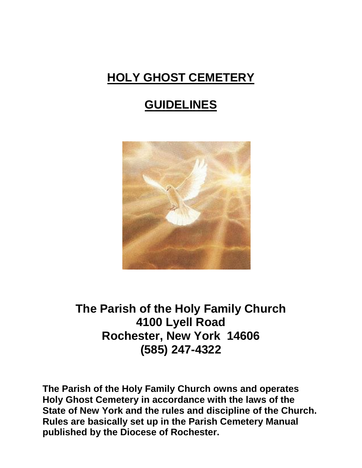# **HOLY GHOST CEMETERY**

## **GUIDELINES**



**The Parish of the Holy Family Church 4100 Lyell Road Rochester, New York 14606 (585) 247-4322**

**The Parish of the Holy Family Church owns and operates Holy Ghost Cemetery in accordance with the laws of the State of New York and the rules and discipline of the Church. Rules are basically set up in the Parish Cemetery Manual published by the Diocese of Rochester.**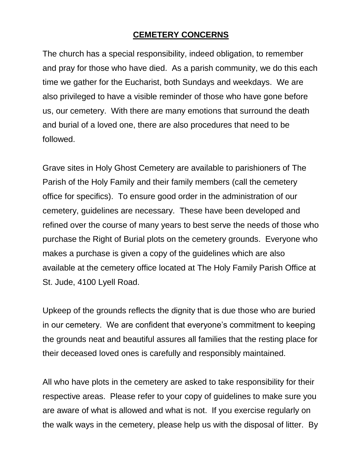#### **CEMETERY CONCERNS**

The church has a special responsibility, indeed obligation, to remember and pray for those who have died. As a parish community, we do this each time we gather for the Eucharist, both Sundays and weekdays. We are also privileged to have a visible reminder of those who have gone before us, our cemetery. With there are many emotions that surround the death and burial of a loved one, there are also procedures that need to be followed.

Grave sites in Holy Ghost Cemetery are available to parishioners of The Parish of the Holy Family and their family members (call the cemetery office for specifics). To ensure good order in the administration of our cemetery, guidelines are necessary. These have been developed and refined over the course of many years to best serve the needs of those who purchase the Right of Burial plots on the cemetery grounds. Everyone who makes a purchase is given a copy of the guidelines which are also available at the cemetery office located at The Holy Family Parish Office at St. Jude, 4100 Lyell Road.

Upkeep of the grounds reflects the dignity that is due those who are buried in our cemetery. We are confident that everyone's commitment to keeping the grounds neat and beautiful assures all families that the resting place for their deceased loved ones is carefully and responsibly maintained.

All who have plots in the cemetery are asked to take responsibility for their respective areas. Please refer to your copy of guidelines to make sure you are aware of what is allowed and what is not. If you exercise regularly on the walk ways in the cemetery, please help us with the disposal of litter. By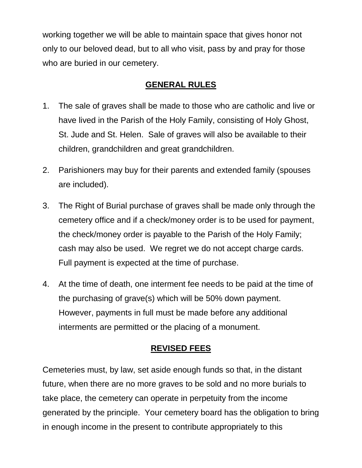working together we will be able to maintain space that gives honor not only to our beloved dead, but to all who visit, pass by and pray for those who are buried in our cemetery.

### **GENERAL RULES**

- 1. The sale of graves shall be made to those who are catholic and live or have lived in the Parish of the Holy Family, consisting of Holy Ghost, St. Jude and St. Helen. Sale of graves will also be available to their children, grandchildren and great grandchildren.
- 2. Parishioners may buy for their parents and extended family (spouses are included).
- 3. The Right of Burial purchase of graves shall be made only through the cemetery office and if a check/money order is to be used for payment, the check/money order is payable to the Parish of the Holy Family; cash may also be used. We regret we do not accept charge cards. Full payment is expected at the time of purchase.
- 4. At the time of death, one interment fee needs to be paid at the time of the purchasing of grave(s) which will be 50% down payment. However, payments in full must be made before any additional interments are permitted or the placing of a monument.

### **REVISED FEES**

Cemeteries must, by law, set aside enough funds so that, in the distant future, when there are no more graves to be sold and no more burials to take place, the cemetery can operate in perpetuity from the income generated by the principle. Your cemetery board has the obligation to bring in enough income in the present to contribute appropriately to this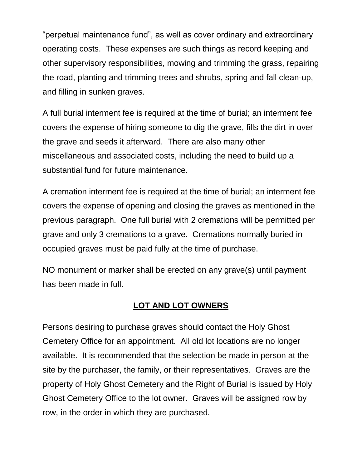"perpetual maintenance fund", as well as cover ordinary and extraordinary operating costs. These expenses are such things as record keeping and other supervisory responsibilities, mowing and trimming the grass, repairing the road, planting and trimming trees and shrubs, spring and fall clean-up, and filling in sunken graves.

A full burial interment fee is required at the time of burial; an interment fee covers the expense of hiring someone to dig the grave, fills the dirt in over the grave and seeds it afterward. There are also many other miscellaneous and associated costs, including the need to build up a substantial fund for future maintenance.

A cremation interment fee is required at the time of burial; an interment fee covers the expense of opening and closing the graves as mentioned in the previous paragraph. One full burial with 2 cremations will be permitted per grave and only 3 cremations to a grave. Cremations normally buried in occupied graves must be paid fully at the time of purchase.

NO monument or marker shall be erected on any grave(s) until payment has been made in full.

#### **LOT AND LOT OWNERS**

Persons desiring to purchase graves should contact the Holy Ghost Cemetery Office for an appointment. All old lot locations are no longer available. It is recommended that the selection be made in person at the site by the purchaser, the family, or their representatives. Graves are the property of Holy Ghost Cemetery and the Right of Burial is issued by Holy Ghost Cemetery Office to the lot owner. Graves will be assigned row by row, in the order in which they are purchased.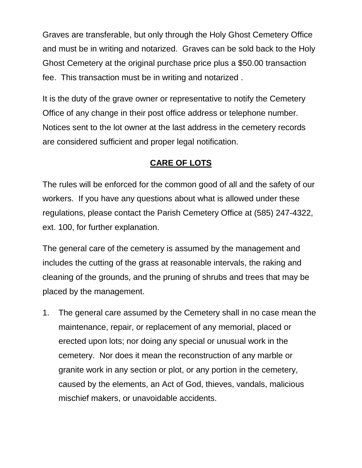Graves are transferable, but only through the Holy Ghost Cemetery Office and must be in writing and notarized. Graves can be sold back to the Holy Ghost Cemetery at the original purchase price plus a \$50.00 transaction fee. This transaction must be in writing and notarized .

It is the duty of the grave owner or representative to notify the Cemetery Office of any change in their post office address or telephone number. Notices sent to the lot owner at the last address in the cemetery records are considered sufficient and proper legal notification.

### **CARE OF LOTS**

The rules will be enforced for the common good of all and the safety of our workers. If you have any questions about what is allowed under these regulations, please contact the Parish Cemetery Office at (585) 247-4322, ext. 100, for further explanation.

The general care of the cemetery is assumed by the management and includes the cutting of the grass at reasonable intervals, the raking and cleaning of the grounds, and the pruning of shrubs and trees that may be placed by the management.

1. The general care assumed by the Cemetery shall in no case mean the maintenance, repair, or replacement of any memorial, placed or erected upon lots; nor doing any special or unusual work in the cemetery. Nor does it mean the reconstruction of any marble or granite work in any section or plot, or any portion in the cemetery, caused by the elements, an Act of God, thieves, vandals, malicious mischief makers, or unavoidable accidents.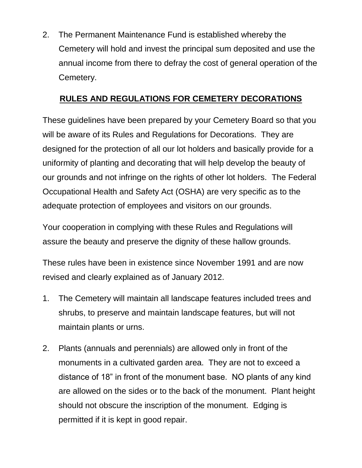2. The Permanent Maintenance Fund is established whereby the Cemetery will hold and invest the principal sum deposited and use the annual income from there to defray the cost of general operation of the Cemetery.

## **RULES AND REGULATIONS FOR CEMETERY DECORATIONS**

These guidelines have been prepared by your Cemetery Board so that you will be aware of its Rules and Regulations for Decorations. They are designed for the protection of all our lot holders and basically provide for a uniformity of planting and decorating that will help develop the beauty of our grounds and not infringe on the rights of other lot holders. The Federal Occupational Health and Safety Act (OSHA) are very specific as to the adequate protection of employees and visitors on our grounds.

Your cooperation in complying with these Rules and Regulations will assure the beauty and preserve the dignity of these hallow grounds.

These rules have been in existence since November 1991 and are now revised and clearly explained as of January 2012.

- 1. The Cemetery will maintain all landscape features included trees and shrubs, to preserve and maintain landscape features, but will not maintain plants or urns.
- 2. Plants (annuals and perennials) are allowed only in front of the monuments in a cultivated garden area. They are not to exceed a distance of 18" in front of the monument base. NO plants of any kind are allowed on the sides or to the back of the monument. Plant height should not obscure the inscription of the monument. Edging is permitted if it is kept in good repair.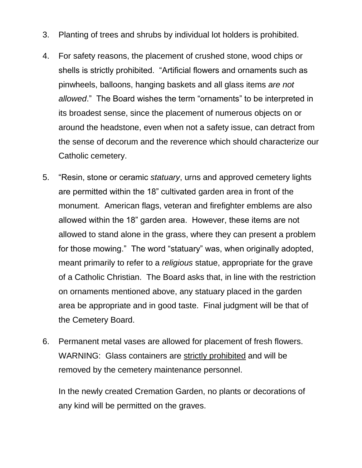- 3. Planting of trees and shrubs by individual lot holders is prohibited.
- 4. For safety reasons, the placement of crushed stone, wood chips or shells is strictly prohibited. "Artificial flowers and ornaments such as pinwheels, balloons, hanging baskets and all glass items *are not allowed*." The Board wishes the term "ornaments" to be interpreted in its broadest sense, since the placement of numerous objects on or around the headstone, even when not a safety issue, can detract from the sense of decorum and the reverence which should characterize our Catholic cemetery.
- 5. "Resin, stone or ceramic *statuary*, urns and approved cemetery lights are permitted within the 18" cultivated garden area in front of the monument. American flags, veteran and firefighter emblems are also allowed within the 18" garden area. However, these items are not allowed to stand alone in the grass, where they can present a problem for those mowing." The word "statuary" was, when originally adopted, meant primarily to refer to a *religious* statue, appropriate for the grave of a Catholic Christian. The Board asks that, in line with the restriction on ornaments mentioned above, any statuary placed in the garden area be appropriate and in good taste. Final judgment will be that of the Cemetery Board.
- 6. Permanent metal vases are allowed for placement of fresh flowers. WARNING: Glass containers are strictly prohibited and will be removed by the cemetery maintenance personnel.

In the newly created Cremation Garden, no plants or decorations of any kind will be permitted on the graves.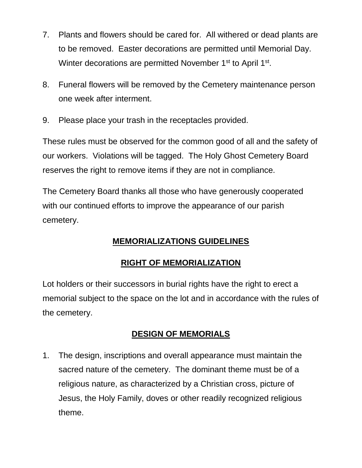- 7. Plants and flowers should be cared for. All withered or dead plants are to be removed. Easter decorations are permitted until Memorial Day. Winter decorations are permitted November 1<sup>st</sup> to April 1<sup>st</sup>.
- 8. Funeral flowers will be removed by the Cemetery maintenance person one week after interment.
- 9. Please place your trash in the receptacles provided.

These rules must be observed for the common good of all and the safety of our workers. Violations will be tagged. The Holy Ghost Cemetery Board reserves the right to remove items if they are not in compliance.

The Cemetery Board thanks all those who have generously cooperated with our continued efforts to improve the appearance of our parish cemetery.

## **MEMORIALIZATIONS GUIDELINES**

## **RIGHT OF MEMORIALIZATION**

Lot holders or their successors in burial rights have the right to erect a memorial subject to the space on the lot and in accordance with the rules of the cemetery.

## **DESIGN OF MEMORIALS**

1. The design, inscriptions and overall appearance must maintain the sacred nature of the cemetery. The dominant theme must be of a religious nature, as characterized by a Christian cross, picture of Jesus, the Holy Family, doves or other readily recognized religious theme.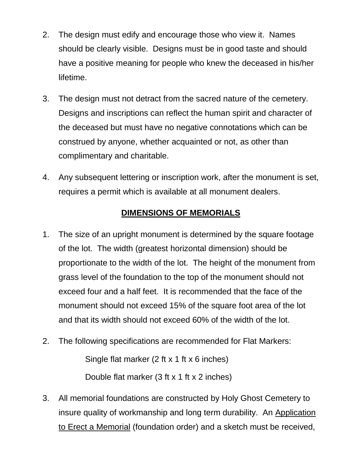- 2. The design must edify and encourage those who view it. Names should be clearly visible. Designs must be in good taste and should have a positive meaning for people who knew the deceased in his/her lifetime.
- 3. The design must not detract from the sacred nature of the cemetery. Designs and inscriptions can reflect the human spirit and character of the deceased but must have no negative connotations which can be construed by anyone, whether acquainted or not, as other than complimentary and charitable.
- 4. Any subsequent lettering or inscription work, after the monument is set, requires a permit which is available at all monument dealers.

### **DIMENSIONS OF MEMORIALS**

- 1. The size of an upright monument is determined by the square footage of the lot. The width (greatest horizontal dimension) should be proportionate to the width of the lot. The height of the monument from grass level of the foundation to the top of the monument should not exceed four and a half feet. It is recommended that the face of the monument should not exceed 15% of the square foot area of the lot and that its width should not exceed 60% of the width of the lot.
- 2. The following specifications are recommended for Flat Markers:

Single flat marker (2 ft x 1 ft x 6 inches)

Double flat marker (3 ft x 1 ft x 2 inches)

3. All memorial foundations are constructed by Holy Ghost Cemetery to insure quality of workmanship and long term durability. An Application to Erect a Memorial (foundation order) and a sketch must be received,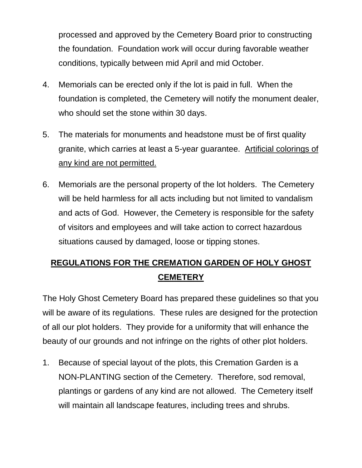processed and approved by the Cemetery Board prior to constructing the foundation. Foundation work will occur during favorable weather conditions, typically between mid April and mid October.

- 4. Memorials can be erected only if the lot is paid in full. When the foundation is completed, the Cemetery will notify the monument dealer, who should set the stone within 30 days.
- 5. The materials for monuments and headstone must be of first quality granite, which carries at least a 5-year guarantee. Artificial colorings of any kind are not permitted.
- 6. Memorials are the personal property of the lot holders. The Cemetery will be held harmless for all acts including but not limited to vandalism and acts of God. However, the Cemetery is responsible for the safety of visitors and employees and will take action to correct hazardous situations caused by damaged, loose or tipping stones.

## **REGULATIONS FOR THE CREMATION GARDEN OF HOLY GHOST CEMETERY**

The Holy Ghost Cemetery Board has prepared these guidelines so that you will be aware of its regulations. These rules are designed for the protection of all our plot holders. They provide for a uniformity that will enhance the beauty of our grounds and not infringe on the rights of other plot holders.

1. Because of special layout of the plots, this Cremation Garden is a NON-PLANTING section of the Cemetery. Therefore, sod removal, plantings or gardens of any kind are not allowed. The Cemetery itself will maintain all landscape features, including trees and shrubs.